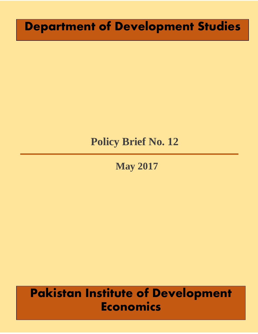# **Department of Development Studies**

# **Policy Brief No. 12**

**May 2017**

# **Pakistan Institute of Development Economics**